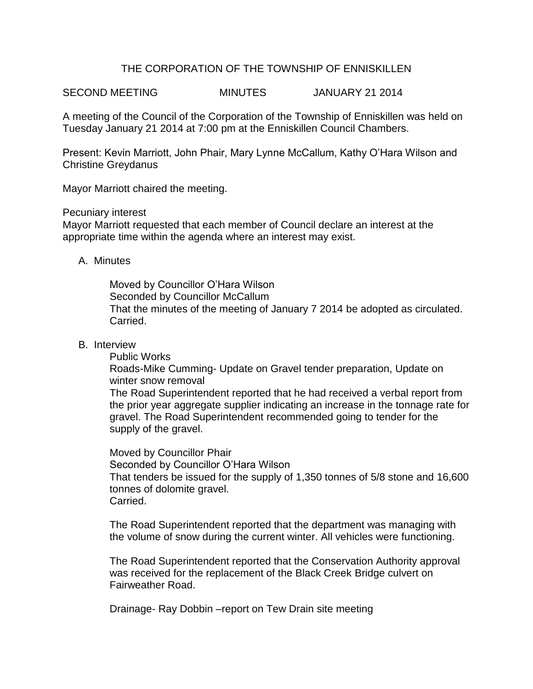# THE CORPORATION OF THE TOWNSHIP OF ENNISKILLEN

SECOND MEETING MINUTES JANUARY 21 2014

A meeting of the Council of the Corporation of the Township of Enniskillen was held on Tuesday January 21 2014 at 7:00 pm at the Enniskillen Council Chambers.

Present: Kevin Marriott, John Phair, Mary Lynne McCallum, Kathy O'Hara Wilson and Christine Greydanus

Mayor Marriott chaired the meeting.

Pecuniary interest

Mayor Marriott requested that each member of Council declare an interest at the appropriate time within the agenda where an interest may exist.

### A. Minutes

Moved by Councillor O'Hara Wilson Seconded by Councillor McCallum That the minutes of the meeting of January 7 2014 be adopted as circulated. Carried.

## B. Interview

Public Works

Roads-Mike Cumming- Update on Gravel tender preparation, Update on winter snow removal

The Road Superintendent reported that he had received a verbal report from the prior year aggregate supplier indicating an increase in the tonnage rate for gravel. The Road Superintendent recommended going to tender for the supply of the gravel.

Moved by Councillor Phair Seconded by Councillor O'Hara Wilson That tenders be issued for the supply of 1,350 tonnes of 5/8 stone and 16,600 tonnes of dolomite gravel. Carried.

The Road Superintendent reported that the department was managing with the volume of snow during the current winter. All vehicles were functioning.

The Road Superintendent reported that the Conservation Authority approval was received for the replacement of the Black Creek Bridge culvert on Fairweather Road.

Drainage- Ray Dobbin –report on Tew Drain site meeting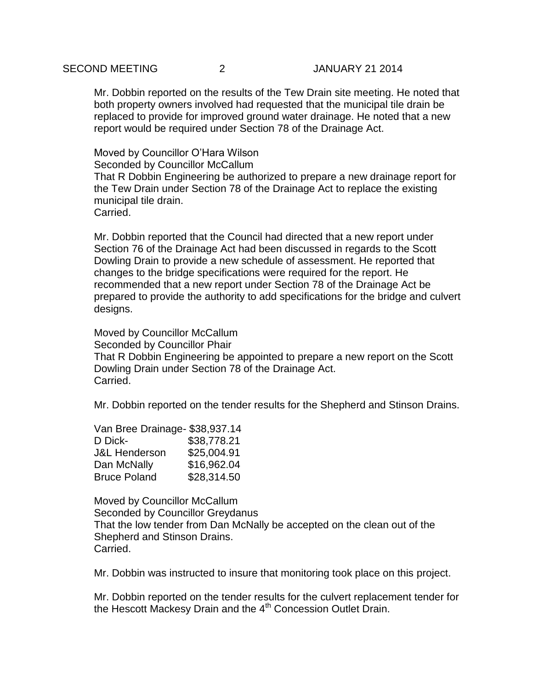# SECOND MEETING 2 JANUARY 21 2014

Mr. Dobbin reported on the results of the Tew Drain site meeting. He noted that both property owners involved had requested that the municipal tile drain be replaced to provide for improved ground water drainage. He noted that a new report would be required under Section 78 of the Drainage Act.

Moved by Councillor O'Hara Wilson Seconded by Councillor McCallum That R Dobbin Engineering be authorized to prepare a new drainage report for the Tew Drain under Section 78 of the Drainage Act to replace the existing municipal tile drain. Carried.

Mr. Dobbin reported that the Council had directed that a new report under Section 76 of the Drainage Act had been discussed in regards to the Scott Dowling Drain to provide a new schedule of assessment. He reported that changes to the bridge specifications were required for the report. He recommended that a new report under Section 78 of the Drainage Act be prepared to provide the authority to add specifications for the bridge and culvert designs.

Moved by Councillor McCallum Seconded by Councillor Phair That R Dobbin Engineering be appointed to prepare a new report on the Scott Dowling Drain under Section 78 of the Drainage Act. Carried.

Mr. Dobbin reported on the tender results for the Shepherd and Stinson Drains.

| Van Bree Drainage- \$38,937.14 |             |
|--------------------------------|-------------|
| D Dick-                        | \$38,778.21 |
| J&L Henderson                  | \$25,004.91 |
| Dan McNally                    | \$16,962.04 |
| <b>Bruce Poland</b>            | \$28,314.50 |

Moved by Councillor McCallum Seconded by Councillor Greydanus That the low tender from Dan McNally be accepted on the clean out of the Shepherd and Stinson Drains. Carried.

Mr. Dobbin was instructed to insure that monitoring took place on this project.

Mr. Dobbin reported on the tender results for the culvert replacement tender for the Hescott Mackesy Drain and the 4<sup>th</sup> Concession Outlet Drain.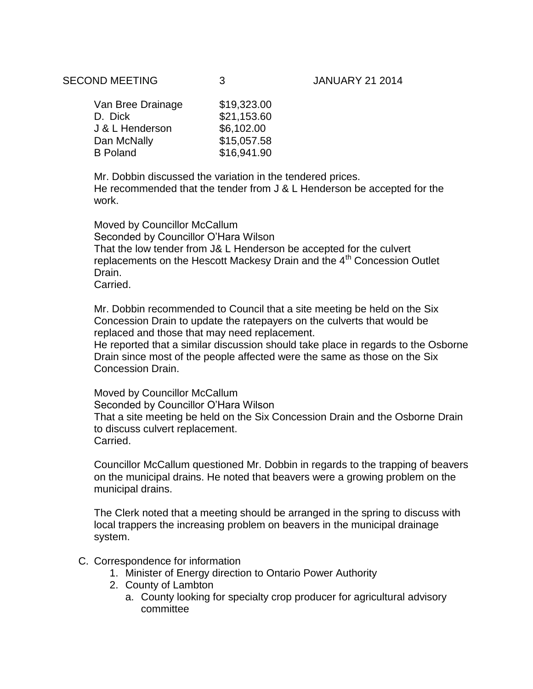| Van Bree Drainage | \$19,323.00 |
|-------------------|-------------|
| D. Dick           | \$21,153.60 |
| J & L Henderson   | \$6,102.00  |
| Dan McNally       | \$15,057.58 |
| <b>B</b> Poland   | \$16,941.90 |

Mr. Dobbin discussed the variation in the tendered prices. He recommended that the tender from J & L Henderson be accepted for the work.

Moved by Councillor McCallum Seconded by Councillor O'Hara Wilson That the low tender from J& L Henderson be accepted for the culvert replacements on the Hescott Mackesy Drain and the 4<sup>th</sup> Concession Outlet Drain. Carried.

Mr. Dobbin recommended to Council that a site meeting be held on the Six Concession Drain to update the ratepayers on the culverts that would be replaced and those that may need replacement.

He reported that a similar discussion should take place in regards to the Osborne Drain since most of the people affected were the same as those on the Six Concession Drain.

Moved by Councillor McCallum Seconded by Councillor O'Hara Wilson That a site meeting be held on the Six Concession Drain and the Osborne Drain to discuss culvert replacement. Carried.

Councillor McCallum questioned Mr. Dobbin in regards to the trapping of beavers on the municipal drains. He noted that beavers were a growing problem on the municipal drains.

The Clerk noted that a meeting should be arranged in the spring to discuss with local trappers the increasing problem on beavers in the municipal drainage system.

### C. Correspondence for information

- 1. Minister of Energy direction to Ontario Power Authority
- 2. County of Lambton
	- a. County looking for specialty crop producer for agricultural advisory committee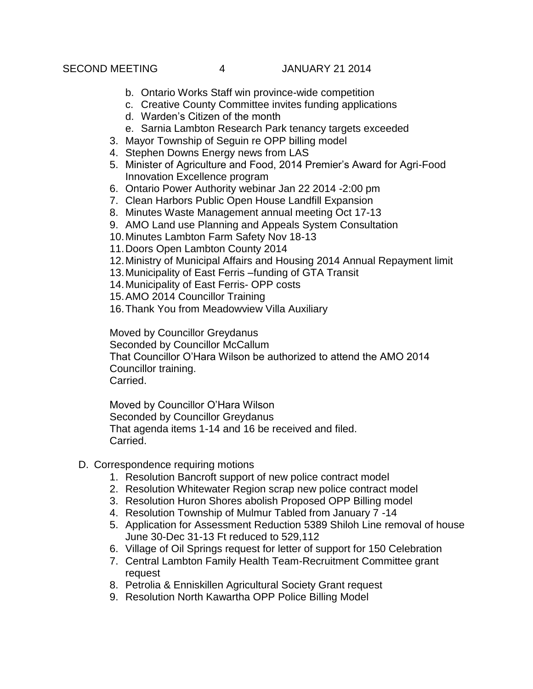- b. Ontario Works Staff win province-wide competition
- c. Creative County Committee invites funding applications
- d. Warden's Citizen of the month
- e. Sarnia Lambton Research Park tenancy targets exceeded
- 3. Mayor Township of Seguin re OPP billing model
- 4. Stephen Downs Energy news from LAS
- 5. Minister of Agriculture and Food, 2014 Premier's Award for Agri-Food Innovation Excellence program
- 6. Ontario Power Authority webinar Jan 22 2014 -2:00 pm
- 7. Clean Harbors Public Open House Landfill Expansion
- 8. Minutes Waste Management annual meeting Oct 17-13
- 9. AMO Land use Planning and Appeals System Consultation
- 10.Minutes Lambton Farm Safety Nov 18-13
- 11.Doors Open Lambton County 2014
- 12.Ministry of Municipal Affairs and Housing 2014 Annual Repayment limit
- 13.Municipality of East Ferris –funding of GTA Transit
- 14.Municipality of East Ferris- OPP costs
- 15.AMO 2014 Councillor Training
- 16.Thank You from Meadowview Villa Auxiliary

Moved by Councillor Greydanus

Seconded by Councillor McCallum That Councillor O'Hara Wilson be authorized to attend the AMO 2014 Councillor training.

Carried.

Moved by Councillor O'Hara Wilson Seconded by Councillor Greydanus That agenda items 1-14 and 16 be received and filed. Carried.

- D. Correspondence requiring motions
	- 1. Resolution Bancroft support of new police contract model
	- 2. Resolution Whitewater Region scrap new police contract model
	- 3. Resolution Huron Shores abolish Proposed OPP Billing model
	- 4. Resolution Township of Mulmur Tabled from January 7 -14
	- 5. Application for Assessment Reduction 5389 Shiloh Line removal of house June 30-Dec 31-13 Ft reduced to 529,112
	- 6. Village of Oil Springs request for letter of support for 150 Celebration
	- 7. Central Lambton Family Health Team-Recruitment Committee grant request
	- 8. Petrolia & Enniskillen Agricultural Society Grant request
	- 9. Resolution North Kawartha OPP Police Billing Model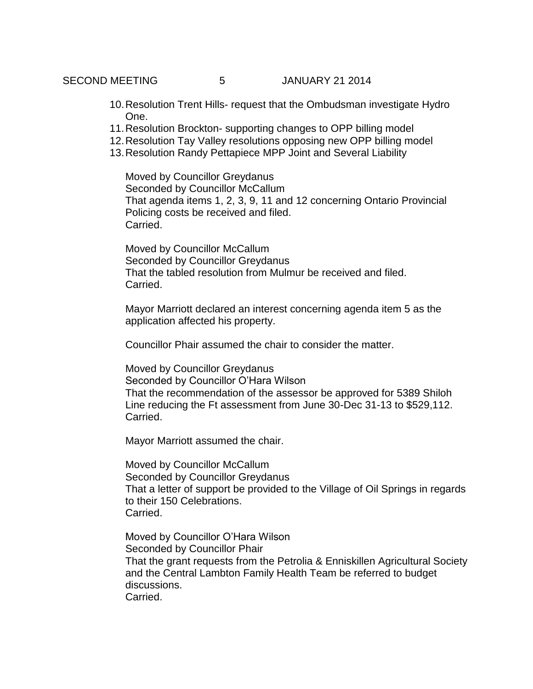- 10.Resolution Trent Hills- request that the Ombudsman investigate Hydro One.
- 11.Resolution Brockton- supporting changes to OPP billing model
- 12.Resolution Tay Valley resolutions opposing new OPP billing model
- 13.Resolution Randy Pettapiece MPP Joint and Several Liability

Moved by Councillor Greydanus Seconded by Councillor McCallum That agenda items 1, 2, 3, 9, 11 and 12 concerning Ontario Provincial Policing costs be received and filed. Carried.

Moved by Councillor McCallum Seconded by Councillor Greydanus That the tabled resolution from Mulmur be received and filed. Carried.

Mayor Marriott declared an interest concerning agenda item 5 as the application affected his property.

Councillor Phair assumed the chair to consider the matter.

Moved by Councillor Greydanus Seconded by Councillor O'Hara Wilson That the recommendation of the assessor be approved for 5389 Shiloh Line reducing the Ft assessment from June 30-Dec 31-13 to \$529,112. Carried.

Mayor Marriott assumed the chair.

Moved by Councillor McCallum Seconded by Councillor Greydanus That a letter of support be provided to the Village of Oil Springs in regards to their 150 Celebrations. Carried.

Moved by Councillor O'Hara Wilson Seconded by Councillor Phair That the grant requests from the Petrolia & Enniskillen Agricultural Society and the Central Lambton Family Health Team be referred to budget discussions. Carried.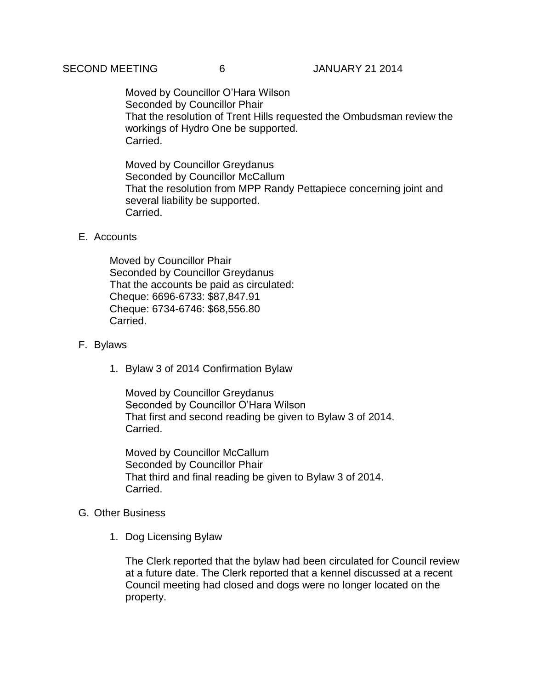Moved by Councillor O'Hara Wilson Seconded by Councillor Phair That the resolution of Trent Hills requested the Ombudsman review the workings of Hydro One be supported. Carried.

Moved by Councillor Greydanus Seconded by Councillor McCallum That the resolution from MPP Randy Pettapiece concerning joint and several liability be supported. Carried.

# E. Accounts

Moved by Councillor Phair Seconded by Councillor Greydanus That the accounts be paid as circulated: Cheque: 6696-6733: \$87,847.91 Cheque: 6734-6746: \$68,556.80 Carried.

# F. Bylaws

1. Bylaw 3 of 2014 Confirmation Bylaw

Moved by Councillor Greydanus Seconded by Councillor O'Hara Wilson That first and second reading be given to Bylaw 3 of 2014. Carried.

Moved by Councillor McCallum Seconded by Councillor Phair That third and final reading be given to Bylaw 3 of 2014. Carried.

### G. Other Business

1. Dog Licensing Bylaw

The Clerk reported that the bylaw had been circulated for Council review at a future date. The Clerk reported that a kennel discussed at a recent Council meeting had closed and dogs were no longer located on the property.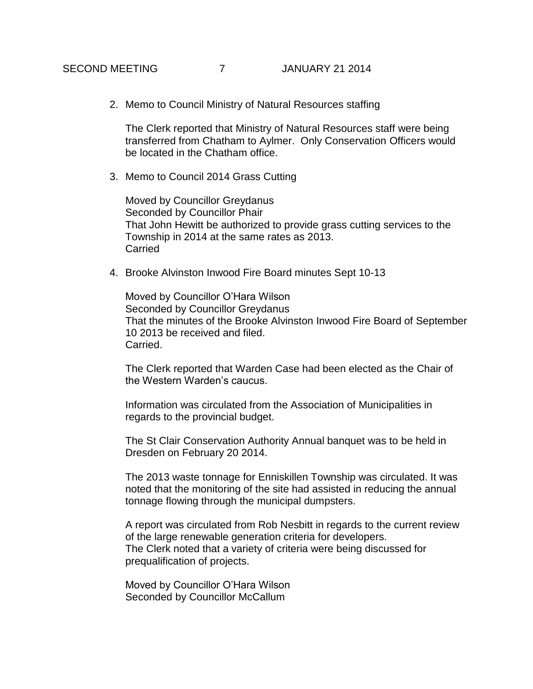2. Memo to Council Ministry of Natural Resources staffing

The Clerk reported that Ministry of Natural Resources staff were being transferred from Chatham to Aylmer. Only Conservation Officers would be located in the Chatham office.

3. Memo to Council 2014 Grass Cutting

Moved by Councillor Greydanus Seconded by Councillor Phair That John Hewitt be authorized to provide grass cutting services to the Township in 2014 at the same rates as 2013. **Carried** 

4. Brooke Alvinston Inwood Fire Board minutes Sept 10-13

Moved by Councillor O'Hara Wilson Seconded by Councillor Greydanus That the minutes of the Brooke Alvinston Inwood Fire Board of September 10 2013 be received and filed. Carried.

The Clerk reported that Warden Case had been elected as the Chair of the Western Warden's caucus.

Information was circulated from the Association of Municipalities in regards to the provincial budget.

The St Clair Conservation Authority Annual banquet was to be held in Dresden on February 20 2014.

The 2013 waste tonnage for Enniskillen Township was circulated. It was noted that the monitoring of the site had assisted in reducing the annual tonnage flowing through the municipal dumpsters.

A report was circulated from Rob Nesbitt in regards to the current review of the large renewable generation criteria for developers. The Clerk noted that a variety of criteria were being discussed for prequalification of projects.

Moved by Councillor O'Hara Wilson Seconded by Councillor McCallum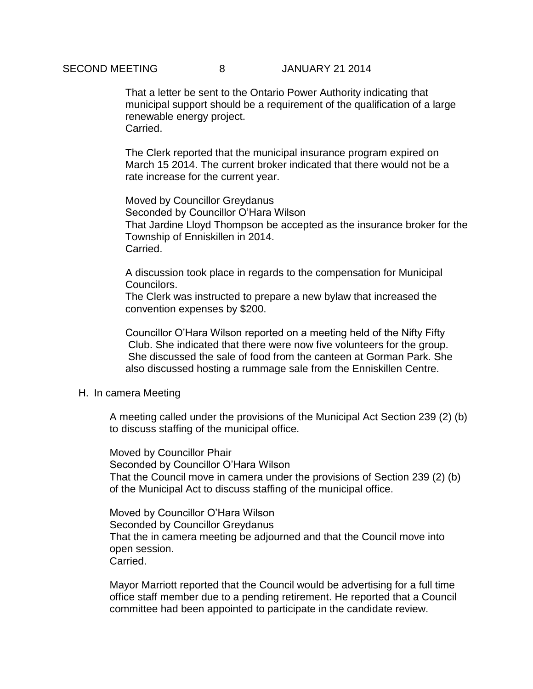# SECOND MEETING 8 3 JANUARY 21 2014

That a letter be sent to the Ontario Power Authority indicating that municipal support should be a requirement of the qualification of a large renewable energy project. Carried.

The Clerk reported that the municipal insurance program expired on March 15 2014. The current broker indicated that there would not be a rate increase for the current year.

Moved by Councillor Greydanus Seconded by Councillor O'Hara Wilson That Jardine Lloyd Thompson be accepted as the insurance broker for the Township of Enniskillen in 2014. Carried.

A discussion took place in regards to the compensation for Municipal Councilors.

The Clerk was instructed to prepare a new bylaw that increased the convention expenses by \$200.

Councillor O'Hara Wilson reported on a meeting held of the Nifty Fifty Club. She indicated that there were now five volunteers for the group. She discussed the sale of food from the canteen at Gorman Park. She also discussed hosting a rummage sale from the Enniskillen Centre.

#### H. In camera Meeting

A meeting called under the provisions of the Municipal Act Section 239 (2) (b) to discuss staffing of the municipal office.

Moved by Councillor Phair Seconded by Councillor O'Hara Wilson That the Council move in camera under the provisions of Section 239 (2) (b) of the Municipal Act to discuss staffing of the municipal office.

Moved by Councillor O'Hara Wilson Seconded by Councillor Greydanus That the in camera meeting be adjourned and that the Council move into open session. Carried.

Mayor Marriott reported that the Council would be advertising for a full time office staff member due to a pending retirement. He reported that a Council committee had been appointed to participate in the candidate review.